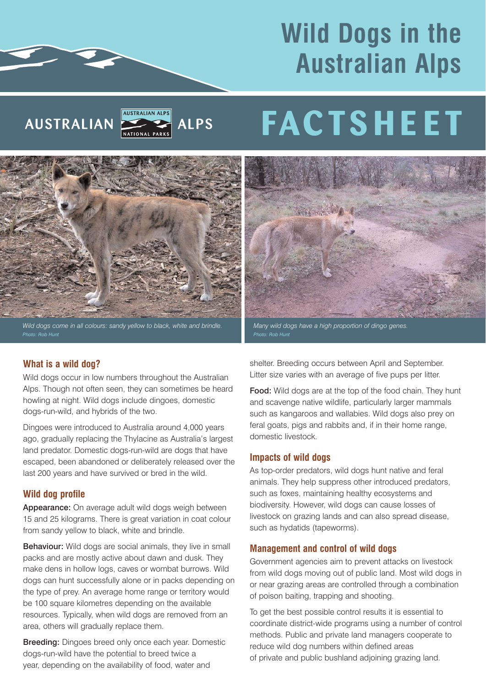# **Wild Dogs in the Australian Alps**



# **FACTSHEET**



Wild dogs come in all colours: sandy yellow to black, white and brindle.

# **What is a wild dog?**

Wild dogs occur in low numbers throughout the Australian Alps. Though not often seen, they can sometimes be heard howling at night. Wild dogs include dingoes, domestic dogs-run-wild, and hybrids of the two.

Dingoes were introduced to Australia around 4,000 years ago, gradually replacing the Thylacine as Australia's largest land predator. Domestic dogs-run-wild are dogs that have escaped, been abandoned or deliberately released over the last 200 years and have survived or bred in the wild.

# **Wild dog profile**

Appearance: On average adult wild dogs weigh between 15 and 25 kilograms. There is great variation in coat colour from sandy yellow to black, white and brindle.

Behaviour: Wild dogs are social animals, they live in small packs and are mostly active about dawn and dusk. They make dens in hollow logs, caves or wombat burrows. Wild dogs can hunt successfully alone or in packs depending on the type of prey. An average home range or territory would be 100 square kilometres depending on the available resources. Typically, when wild dogs are removed from an area, others will gradually replace them.

Breeding: Dingoes breed only once each year. Domestic dogs-run-wild have the potential to breed twice a year, depending on the availability of food, water and



*Many wild dogs have a high proportion of dingo genes.* 

shelter. Breeding occurs between April and September. Litter size varies with an average of five pups per litter.

Food: Wild dogs are at the top of the food chain. They hunt and scavenge native wildlife, particularly larger mammals such as kangaroos and wallabies. Wild dogs also prey on feral goats, pigs and rabbits and, if in their home range, domestic livestock.

# **Impacts of wild dogs**

As top-order predators, wild dogs hunt native and feral animals. They help suppress other introduced predators, such as foxes, maintaining healthy ecosystems and biodiversity. However, wild dogs can cause losses of livestock on grazing lands and can also spread disease, such as hydatids (tapeworms).

# **Management and control of wild dogs**

Government agencies aim to prevent attacks on livestock from wild dogs moving out of public land. Most wild dogs in or near grazing areas are controlled through a combination of poison baiting, trapping and shooting.

To get the best possible control results it is essential to coordinate district-wide programs using a number of control methods. Public and private land managers cooperate to reduce wild dog numbers within defined areas of private and public bushland adjoining grazing land.